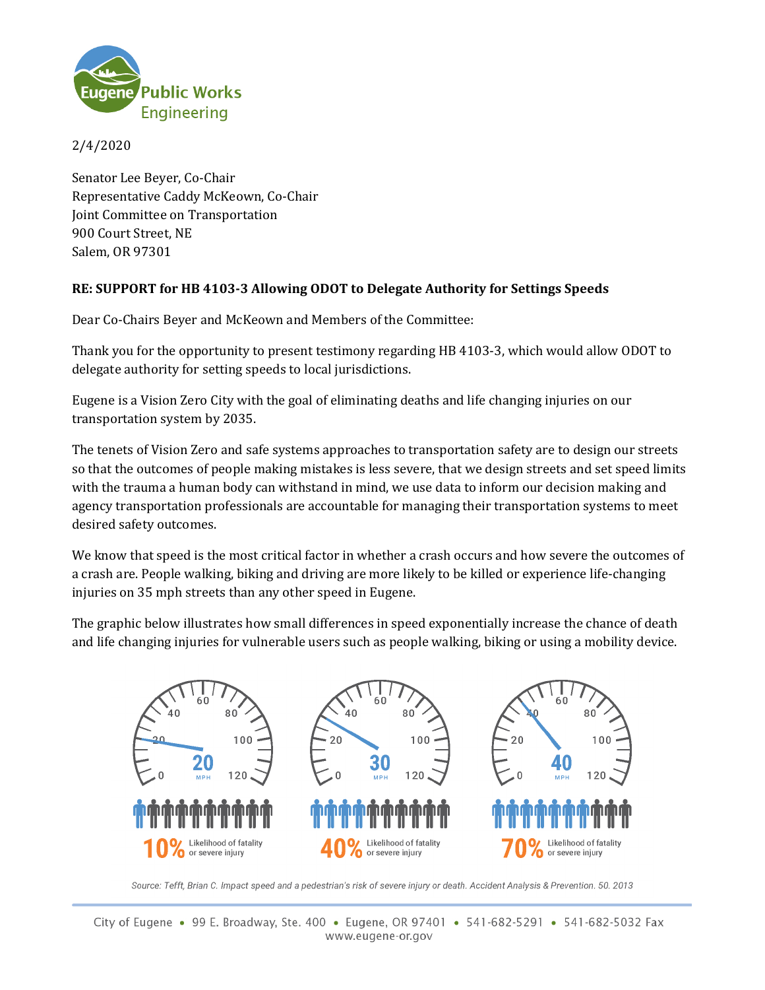

## 2/4/2020

Senator Lee Beyer, Co-Chair Representative Caddy McKeown, Co-Chair Joint Committee on Transportation 900 Court Street, NE Salem, OR 97301

## **RE: SUPPORT for HB 4103-3 Allowing ODOT to Delegate Authority for Settings Speeds**

Dear Co-Chairs Beyer and McKeown and Members of the Committee:

Thank you for the opportunity to present testimony regarding HB 4103-3, which would allow ODOT to delegate authority for setting speeds to local jurisdictions.

Eugene is a Vision Zero City with the goal of eliminating deaths and life changing injuries on our transportation system by 2035.

The tenets of Vision Zero and safe systems approaches to transportation safety are to design our streets so that the outcomes of people making mistakes is less severe, that we design streets and set speed limits with the trauma a human body can withstand in mind, we use data to inform our decision making and agency transportation professionals are accountable for managing their transportation systems to meet desired safety outcomes.

We know that speed is the most critical factor in whether a crash occurs and how severe the outcomes of a crash are. People walking, biking and driving are more likely to be killed or experience life-changing injuries on 35 mph streets than any other speed in Eugene.

The graphic below illustrates how small differences in speed exponentially increase the chance of death and life changing injuries for vulnerable users such as people walking, biking or using a mobility device.



Source: Tefft, Brian C. Impact speed and a pedestrian's risk of severe injury or death. Accident Analysis & Prevention. 50. 2013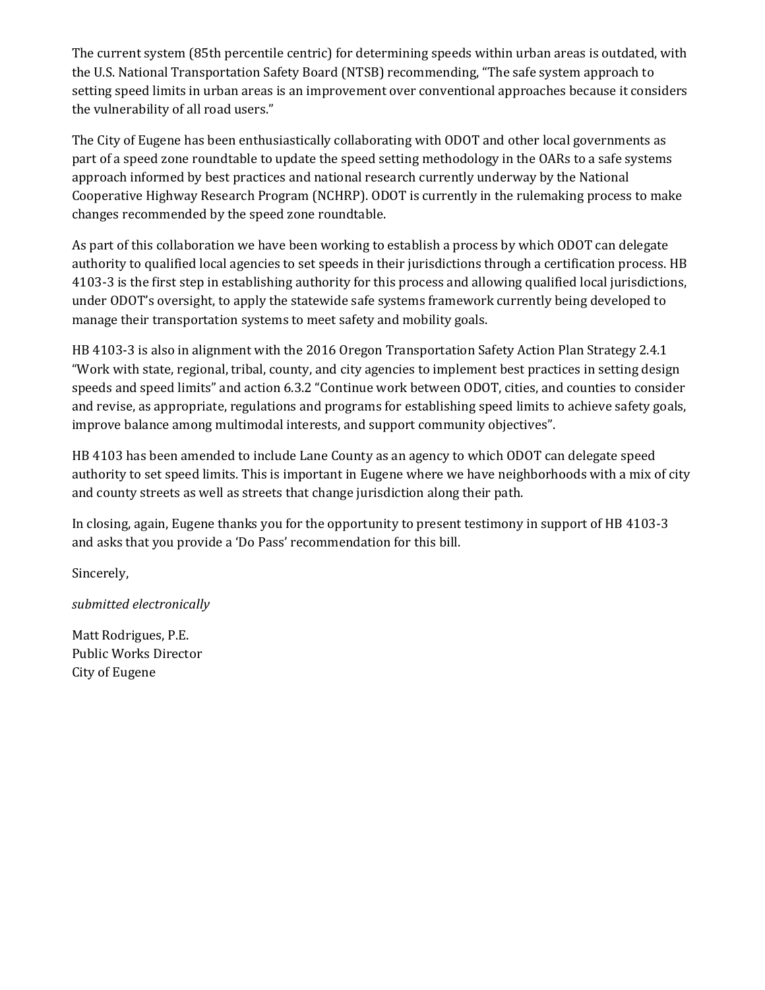The current system (85th percentile centric) for determining speeds within urban areas is outdated, with the U.S. National Transportation Safety Board (NTSB) recommending, "The safe system approach to setting speed limits in urban areas is an improvement over conventional approaches because it considers the vulnerability of all road users."

The City of Eugene has been enthusiastically collaborating with ODOT and other local governments as part of a speed zone roundtable to update the speed setting methodology in the OARs to a safe systems approach informed by best practices and national research currently underway by the National Cooperative Highway Research Program (NCHRP). ODOT is currently in the rulemaking process to make changes recommended by the speed zone roundtable.

As part of this collaboration we have been working to establish a process by which ODOT can delegate authority to qualified local agencies to set speeds in their jurisdictions through a certification process. HB 4103-3 is the first step in establishing authority for this process and allowing qualified local jurisdictions, under ODOT's oversight, to apply the statewide safe systems framework currently being developed to manage their transportation systems to meet safety and mobility goals.

HB 4103-3 is also in alignment with the 2016 Oregon Transportation Safety Action Plan Strategy 2.4.1 "Work with state, regional, tribal, county, and city agencies to implement best practices in setting design speeds and speed limits" and action 6.3.2 "Continue work between ODOT, cities, and counties to consider and revise, as appropriate, regulations and programs for establishing speed limits to achieve safety goals, improve balance among multimodal interests, and support community objectives".

HB 4103 has been amended to include Lane County as an agency to which ODOT can delegate speed authority to set speed limits. This is important in Eugene where we have neighborhoods with a mix of city and county streets as well as streets that change jurisdiction along their path.

In closing, again, Eugene thanks you for the opportunity to present testimony in support of HB 4103-3 and asks that you provide a 'Do Pass' recommendation for this bill.

Sincerely,

*submitted electronically*

Matt Rodrigues, P.E. Public Works Director City of Eugene